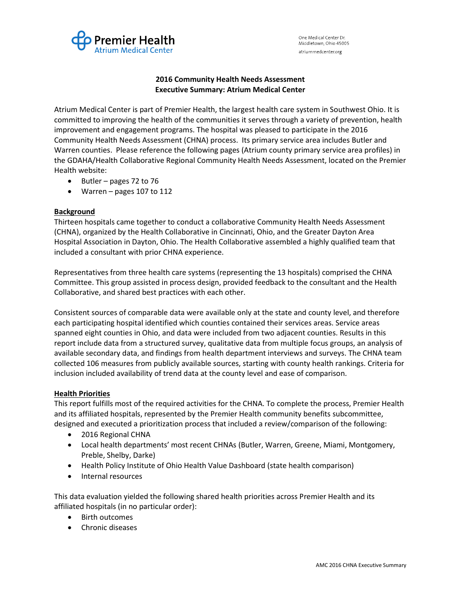

One Medical Center Dr. Middletown, Ohio 45005 atriummedcenter.org

## 2016 Community Health Needs Assessment Executive Summary: Atrium Medical Center

Atrium Medical Center is part of Premier Health, the largest health care system in Southwest Ohio. It is committed to improving the health of the communities it serves through a variety of prevention, health improvement and engagement programs. The hospital was pleased to participate in the 2016 Community Health Needs Assessment (CHNA) process. Its primary service area includes Butler and Warren counties. Please reference the following pages (Atrium county primary service area profiles) in the GDAHA/Health Collaborative Regional Community Health Needs Assessment, located on the Premier Health website:

- $\bullet$  Butler pages 72 to 76
- Warren pages 107 to 112

## Background

Thirteen hospitals came together to conduct a collaborative Community Health Needs Assessment (CHNA), organized by the Health Collaborative in Cincinnati, Ohio, and the Greater Dayton Area Hospital Association in Dayton, Ohio. The Health Collaborative assembled a highly qualified team that included a consultant with prior CHNA experience.

Representatives from three health care systems (representing the 13 hospitals) comprised the CHNA Committee. This group assisted in process design, provided feedback to the consultant and the Health Collaborative, and shared best practices with each other.

Consistent sources of comparable data were available only at the state and county level, and therefore each participating hospital identified which counties contained their services areas. Service areas spanned eight counties in Ohio, and data were included from two adjacent counties. Results in this report include data from a structured survey, qualitative data from multiple focus groups, an analysis of available secondary data, and findings from health department interviews and surveys. The CHNA team collected 106 measures from publicly available sources, starting with county health rankings. Criteria for inclusion included availability of trend data at the county level and ease of comparison.

## **Health Priorities**

This report fulfills most of the required activities for the CHNA. To complete the process, Premier Health and its affiliated hospitals, represented by the Premier Health community benefits subcommittee, designed and executed a prioritization process that included a review/comparison of the following:

- 2016 Regional CHNA
- Local health departments' most recent CHNAs (Butler, Warren, Greene, Miami, Montgomery, Preble, Shelby, Darke)
- Health Policy Institute of Ohio Health Value Dashboard (state health comparison)
- Internal resources

This data evaluation yielded the following shared health priorities across Premier Health and its affiliated hospitals (in no particular order):

- Birth outcomes
- Chronic diseases